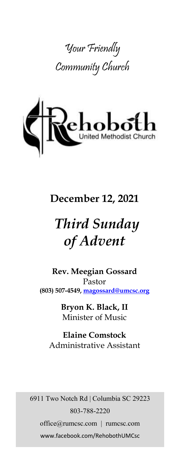



# **December 12, 2021**

# *Third Sunday of Advent*

**Rev. Meegian Gossard** Pastor **(803) 507-4549, magossard@umcsc.org**

> **Bryon K. Black, II** Minister of Music

**Elaine Comstock** Administrative Assistant

6911 Two Notch Rd | Columbia SC 29223 803-788-2220 office@rumcsc.com | rumcsc.com www.facebook.com/RehobothUMCsc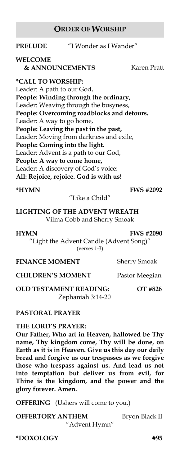#### **ORDER OF WORSHIP**

#### **PRELUDE** "I Wonder as I Wander"

#### **WELCOME**

**& ANNOUNCEMENTS** Karen Pratt

#### **\*CALL TO WORSHIP:**

Leader: A path to our God, **People: Winding through the ordinary,** Leader: Weaving through the busyness, **People: Overcoming roadblocks and detours.** Leader: A way to go home, **People: Leaving the past in the past,** Leader: Moving from darkness and exile, **People: Coming into the light.** Leader: Advent is a path to our God, **People: A way to come home,** Leader: A discovery of God's voice: **All: Rejoice, rejoice. God is with us!**

#### **\*HYMN FWS #2092**

#### "Like a Child"

#### **LIGHTING OF THE ADVENT WREATH** Vilma Cobb and Sherry Smoak

**HYMN FWS #2090**

"Light the Advent Candle (Advent Song)" (verses 1-3)

**FINANCE MOMENT** Sherry Smoak

#### **CHILDREN'S MOMENT** Pastor Meegian

**OLD TESTAMENT READING: OT #826** Zephaniah 3:14-20

#### **PASTORAL PRAYER**

#### **THE LORD'S PRAYER:**

**Our Father, Who art in Heaven, hallowed be Thy name, Thy kingdom come, Thy will be done, on Earth as it is in Heaven. Give us this day our daily bread and forgive us our trespasses as we forgive those who trespass against us. And lead us not into temptation but deliver us from evil, for Thine is the kingdom, and the power and the glory forever. Amen.** 

**OFFERING** (Ushers will come to you.)

**OFFERTORY ANTHEM** Bryon Black II "Advent Hymn"

**\*DOXOLOGY #95**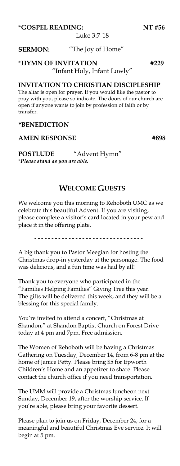**\*GOSPEL READING: NT #56**

Luke 3:7-18

#### **SERMON:** "The Joy of Home"

### **\*HYMN OF INVITATION #229**

"Infant Holy, Infant Lowly"

#### **INVITATION TO CHRISTIAN DISCIPLESHIP**

The altar is open for prayer. If you would like the pastor to pray with you, please so indicate. The doors of our church are open if anyone wants to join by profession of faith or by transfer.

#### **\*BENEDICTION**

#### AMEN RESPONSE #898

**POSTLUDE** "Advent Hymn" *\*Please stand as you are able.*

#### **WELCOME GUESTS**

We welcome you this morning to Rehoboth UMC as we celebrate this beautiful Advent. If you are visiting, please complete a visitor's card located in your pew and place it in the offering plate.

----------------------------------

A big thank you to Pastor Meegian for hosting the Christmas drop-in yesterday at the parsonage. The food was delicious, and a fun time was had by all!

Thank you to everyone who participated in the "Families Helping Families" Giving Tree this year. The gifts will be delivered this week, and they will be a blessing for this special family.

You're invited to attend a concert, "Christmas at Shandon," at Shandon Baptist Church on Forest Drive today at 4 pm and 7pm. Free admission.

The Women of Rehoboth will be having a Christmas Gathering on Tuesday, December 14, from 6-8 pm at the home of Janice Petty. Please bring \$5 for Epworth Children's Home and an appetizer to share. Please contact the church office if you need transportation.

The UMM will provide a Christmas luncheon next Sunday, December 19, after the worship service. If you're able, please bring your favorite dessert.

Please plan to join us on Friday, December 24, for a meaningful and beautiful Christmas Eve service. It will begin at 5 pm.